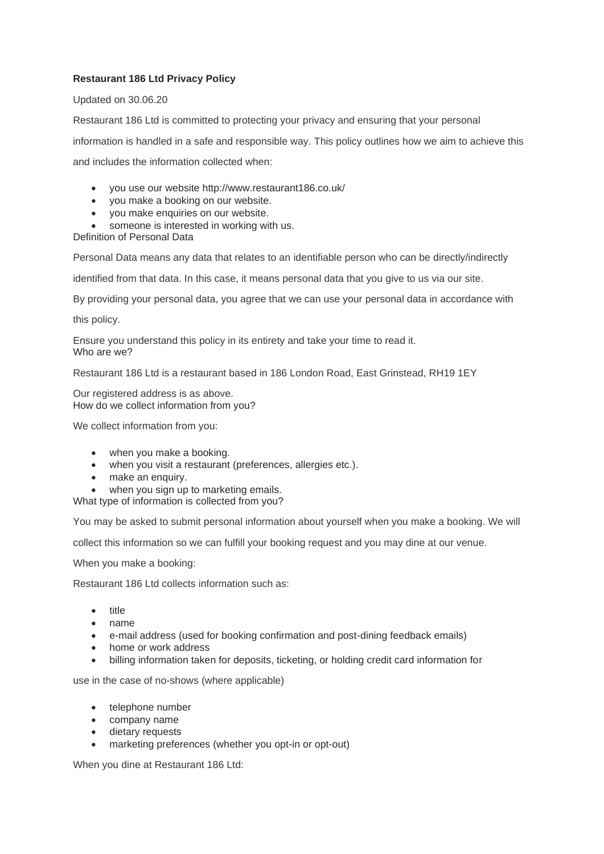# **Restaurant 186 Ltd Privacy Policy**

## Updated on 30.06.20

Restaurant 186 Ltd is committed to protecting your privacy and ensuring that your personal

information is handled in a safe and responsible way. This policy outlines how we aim to achieve this

and includes the information collected when:

- you use our website http://www.restaurant186.co.uk/
- you make a booking on our website.
- you make enquiries on our website.
- someone is interested in working with us.

Definition of Personal Data

Personal Data means any data that relates to an identifiable person who can be directly/indirectly

identified from that data. In this case, it means personal data that you give to us via our site.

By providing your personal data, you agree that we can use your personal data in accordance with

this policy.

Ensure you understand this policy in its entirety and take your time to read it. Who are we?

Restaurant 186 Ltd is a restaurant based in 186 London Road, East Grinstead, RH19 1EY

Our registered address is as above. How do we collect information from you?

We collect information from you:

- when you make a booking.
- when you visit a restaurant (preferences, allergies etc.).
- make an enquiry.
- when you sign up to marketing emails.

What type of information is collected from you?

You may be asked to submit personal information about yourself when you make a booking. We will

collect this information so we can fulfill your booking request and you may dine at our venue.

When you make a booking:

Restaurant 186 Ltd collects information such as:

- title
- name
- e-mail address (used for booking confirmation and post-dining feedback emails)
- home or work address
- billing information taken for deposits, ticketing, or holding credit card information for

use in the case of no-shows (where applicable)

- telephone number
- company name
- dietary requests
- marketing preferences (whether you opt-in or opt-out)

When you dine at Restaurant 186 Ltd: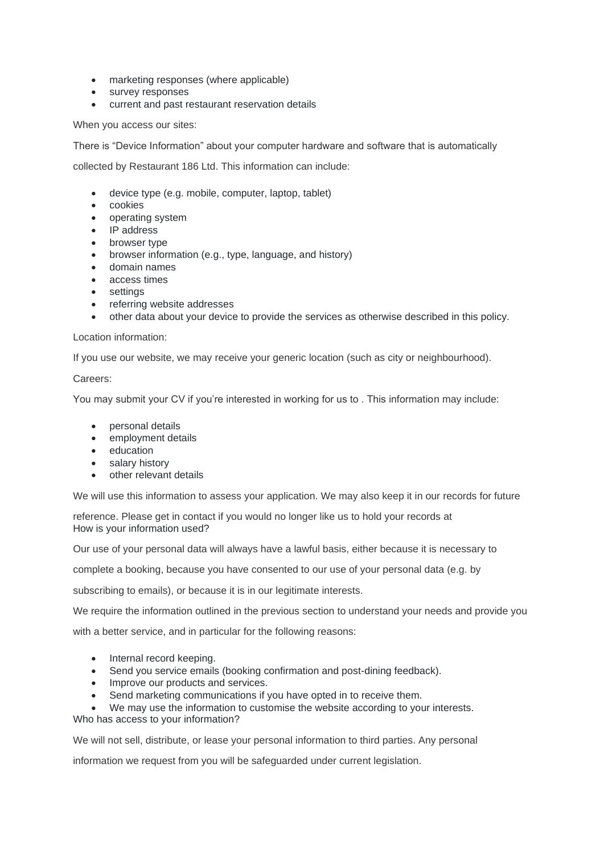- marketing responses (where applicable)
- survey responses
- current and past restaurant reservation details

When you access our sites:

There is "Device Information" about your computer hardware and software that is automatically

collected by Restaurant 186 Ltd. This information can include:

- device type (e.g. mobile, computer, laptop, tablet)
- cookies
- operating system
- IP address
- browser type
- browser information (e.g., type, language, and history)
- domain names
- access times
- settings
- referring website addresses
- other data about your device to provide the services as otherwise described in this policy.

### Location information:

If you use our website, we may receive your generic location (such as city or neighbourhood).

### Careers:

You may submit your CV if you're interested in working for us to . This information may include:

- personal details
- employment details
- education
- salary history
- other relevant details

We will use this information to assess your application. We may also keep it in our records for future

reference. Please get in contact if you would no longer like us to hold your records at How is your information used?

Our use of your personal data will always have a lawful basis, either because it is necessary to

complete a booking, because you have consented to our use of your personal data (e.g. by

subscribing to emails), or because it is in our legitimate interests.

We require the information outlined in the previous section to understand your needs and provide you

with a better service, and in particular for the following reasons:

- Internal record keeping.
- Send you service emails (booking confirmation and post-dining feedback).
- Improve our products and services.
- Send marketing communications if you have opted in to receive them.

• We may use the information to customise the website according to your interests. Who has access to your information?

We will not sell, distribute, or lease your personal information to third parties. Any personal

information we request from you will be safeguarded under current legislation.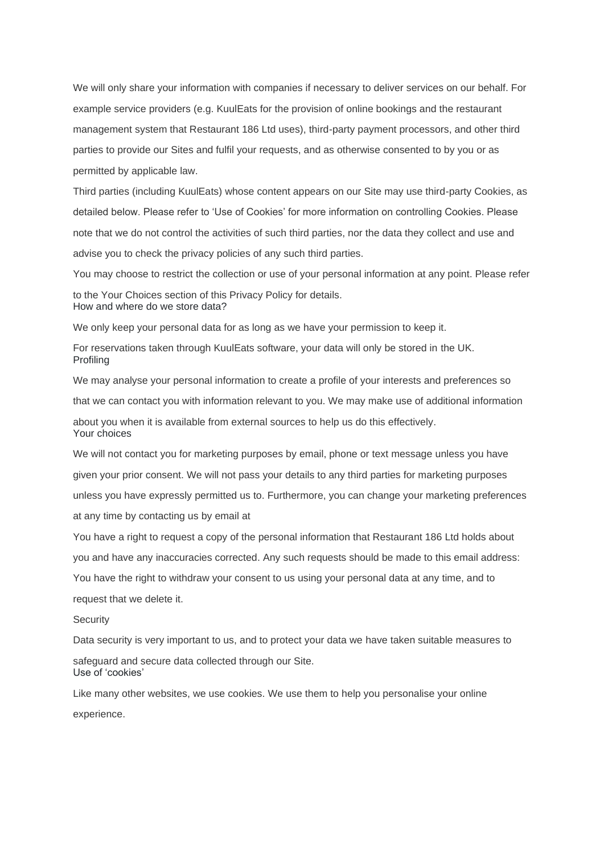We will only share your information with companies if necessary to deliver services on our behalf. For example service providers (e.g. KuulEats for the provision of online bookings and the restaurant management system that Restaurant 186 Ltd uses), third-party payment processors, and other third parties to provide our Sites and fulfil your requests, and as otherwise consented to by you or as permitted by applicable law.

Third parties (including KuulEats) whose content appears on our Site may use third-party Cookies, as detailed below. Please refer to 'Use of Cookies' for more information on controlling Cookies. Please note that we do not control the activities of such third parties, nor the data they collect and use and advise you to check the privacy policies of any such third parties.

You may choose to restrict the collection or use of your personal information at any point. Please refer

to the Your Choices section of this Privacy Policy for details. How and where do we store data?

We only keep your personal data for as long as we have your permission to keep it.

For reservations taken through KuulEats software, your data will only be stored in the UK. Profiling

We may analyse your personal information to create a profile of your interests and preferences so

that we can contact you with information relevant to you. We may make use of additional information

about you when it is available from external sources to help us do this effectively. Your choices

We will not contact you for marketing purposes by email, phone or text message unless you have given your prior consent. We will not pass your details to any third parties for marketing purposes unless you have expressly permitted us to. Furthermore, you can change your marketing preferences at any time by contacting us by email at

You have a right to request a copy of the personal information that Restaurant 186 Ltd holds about

you and have any inaccuracies corrected. Any such requests should be made to this email address:

You have the right to withdraw your consent to us using your personal data at any time, and to

request that we delete it.

#### **Security**

Data security is very important to us, and to protect your data we have taken suitable measures to

safeguard and secure data collected through our Site. Use of 'cookies'

Like many other websites, we use cookies. We use them to help you personalise your online

experience.